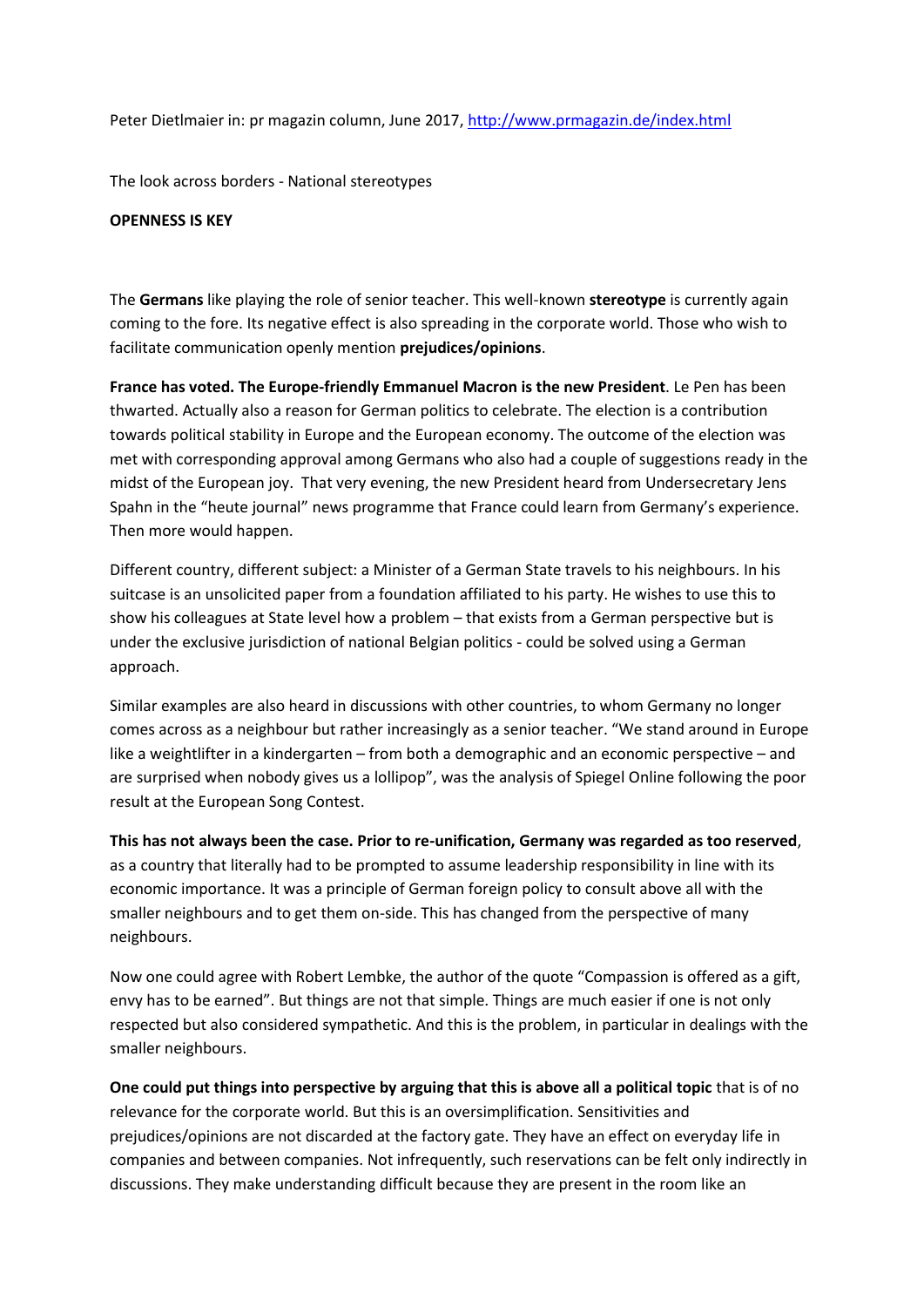Peter Dietlmaier in: pr magazin column, June 2017,<http://www.prmagazin.de/index.html>

The look across borders - National stereotypes

## **OPENNESS IS KEY**

The **Germans** like playing the role of senior teacher. This well-known **stereotype** is currently again coming to the fore. Its negative effect is also spreading in the corporate world. Those who wish to facilitate communication openly mention **prejudices/opinions**.

**France has voted. The Europe-friendly Emmanuel Macron is the new President**. Le Pen has been thwarted. Actually also a reason for German politics to celebrate. The election is a contribution towards political stability in Europe and the European economy. The outcome of the election was met with corresponding approval among Germans who also had a couple of suggestions ready in the midst of the European joy. That very evening, the new President heard from Undersecretary Jens Spahn in the "heute journal" news programme that France could learn from Germany's experience. Then more would happen.

Different country, different subject: a Minister of a German State travels to his neighbours. In his suitcase is an unsolicited paper from a foundation affiliated to his party. He wishes to use this to show his colleagues at State level how a problem – that exists from a German perspective but is under the exclusive jurisdiction of national Belgian politics - could be solved using a German approach.

Similar examples are also heard in discussions with other countries, to whom Germany no longer comes across as a neighbour but rather increasingly as a senior teacher. "We stand around in Europe like a weightlifter in a kindergarten – from both a demographic and an economic perspective – and are surprised when nobody gives us a lollipop", was the analysis of Spiegel Online following the poor result at the European Song Contest.

**This has not always been the case. Prior to re-unification, Germany was regarded as too reserved**, as a country that literally had to be prompted to assume leadership responsibility in line with its economic importance. It was a principle of German foreign policy to consult above all with the smaller neighbours and to get them on-side. This has changed from the perspective of many neighbours.

Now one could agree with Robert Lembke, the author of the quote "Compassion is offered as a gift, envy has to be earned". But things are not that simple. Things are much easier if one is not only respected but also considered sympathetic. And this is the problem, in particular in dealings with the smaller neighbours.

**One could put things into perspective by arguing that this is above all a political topic** that is of no relevance for the corporate world. But this is an oversimplification. Sensitivities and prejudices/opinions are not discarded at the factory gate. They have an effect on everyday life in companies and between companies. Not infrequently, such reservations can be felt only indirectly in discussions. They make understanding difficult because they are present in the room like an